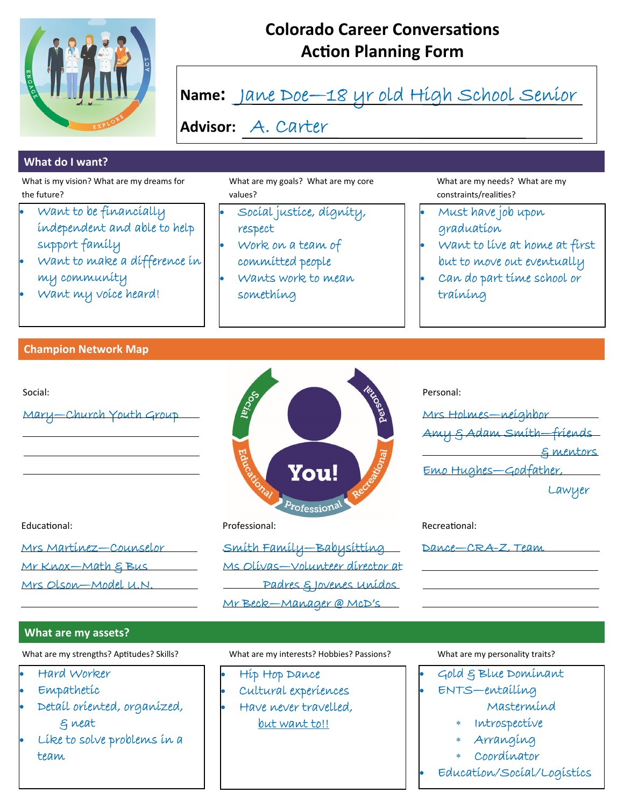

## **Colorado Career Conversations Action Planning Form**



 Like to solve problems in a team

- Arranging
- Coordinator
- Education/Social/Logistics